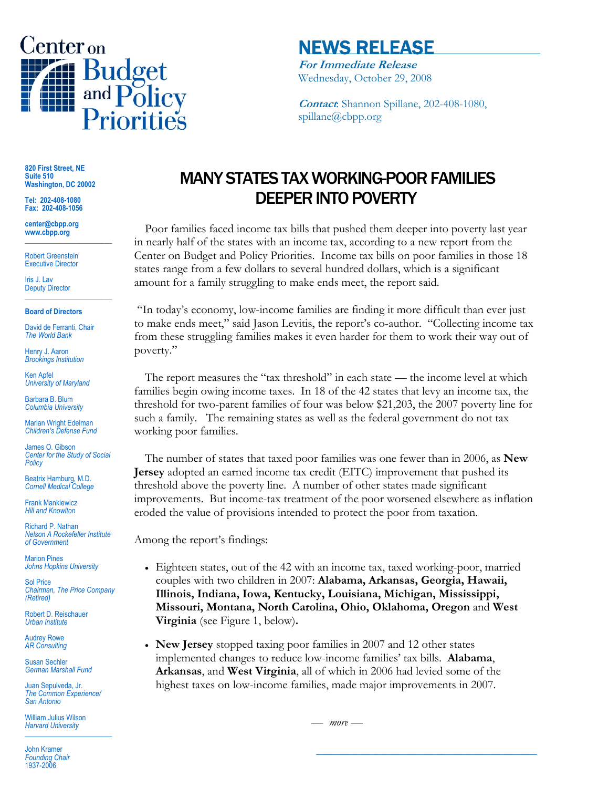

# NEWS RELEASE

**For Immediate Release** Wednesday, October 29, 2008

**Contact**: Shannon Spillane, 202-408-1080, spillane@cbpp.org

**820 First Street, NE Suite 510 Washington, DC 20002** 

**Tel: 202-408-1080 Fax: 202-408-1056** 

**center@cbpp.org www.cbpp.org \_\_\_\_\_\_\_\_\_\_\_\_\_\_\_\_\_\_\_\_\_\_\_\_** 

Robert Greenstein Executive Director

Iris J. Lav Deputy Director **\_\_\_\_\_\_\_\_\_\_\_\_\_\_\_\_\_\_\_\_\_\_\_\_** 

#### **Board of Directors**

David de Ferranti, Chair *The World Bank* 

Henry J. Aaron *Brookings Institution* 

Ken Apfel *University of Maryland* 

Barbara B. Blum *Columbia University* 

Marian Wright Edelman *Children's Defense Fund* 

James O. Gibson *Center for the Study of Social Policy* 

Beatrix Hamburg, M.D. *Cornell Medical College* 

Frank Mankiewicz *Hill and Knowlton* 

Richard P. Nathan *Nelson A Rockefeller Institute of Government* 

Marion Pines *Johns Hopkins University* 

Sol Price *Chairman, The Price Company (Retired)* 

Robert D. Reischauer *Urban Institute* 

Audrey Rowe *AR Consulting* 

Susan Sechler *German Marshall Fund* 

Juan Sepulveda, Jr. *The Common Experience/ San Antonio* 

William Julius Wilson *Harvard University*  **\_\_\_\_\_\_\_\_\_\_\_\_\_\_\_\_\_\_\_\_\_\_\_\_** 

John Kramer *Founding Chair*  1937-2006

# MANY STATES TAX WORKING-POOR FAMILIES DEEPER INTO POVERTY

 Poor families faced income tax bills that pushed them deeper into poverty last year in nearly half of the states with an income tax, according to a new report from the Center on Budget and Policy Priorities. Income tax bills on poor families in those 18 states range from a few dollars to several hundred dollars, which is a significant amount for a family struggling to make ends meet, the report said.

 "In today's economy, low-income families are finding it more difficult than ever just to make ends meet," said Jason Levitis, the report's co-author. "Collecting income tax from these struggling families makes it even harder for them to work their way out of poverty."

The report measures the "tax threshold" in each state — the income level at which families begin owing income taxes. In 18 of the 42 states that levy an income tax, the threshold for two-parent families of four was below \$21,203, the 2007 poverty line for such a family. The remaining states as well as the federal government do not tax working poor families.

The number of states that taxed poor families was one fewer than in 2006, as **New Jersey** adopted an earned income tax credit (EITC) improvement that pushed its threshold above the poverty line. A number of other states made significant improvements. But income-tax treatment of the poor worsened elsewhere as inflation eroded the value of provisions intended to protect the poor from taxation.

Among the report's findings:

- Eighteen states, out of the 42 with an income tax, taxed working-poor, married couples with two children in 2007: **Alabama, Arkansas, Georgia, Hawaii, Illinois, Indiana, Iowa, Kentucky, Louisiana, Michigan, Mississippi, Missouri, Montana, North Carolina, Ohio, Oklahoma, Oregon** and **West Virginia** (see Figure 1, below)**.**
- **New Jersey** stopped taxing poor families in 2007 and 12 other states implemented changes to reduce low-income families' tax bills. **Alabama**, **Arkansas**, and **West Virginia**, all of which in 2006 had levied some of the highest taxes on low-income families, made major improvements in 2007.

— *more —* 

**\_\_\_\_\_\_\_\_\_\_\_\_\_\_\_\_\_\_\_\_\_\_\_\_\_\_\_\_\_\_\_\_\_\_\_\_\_**